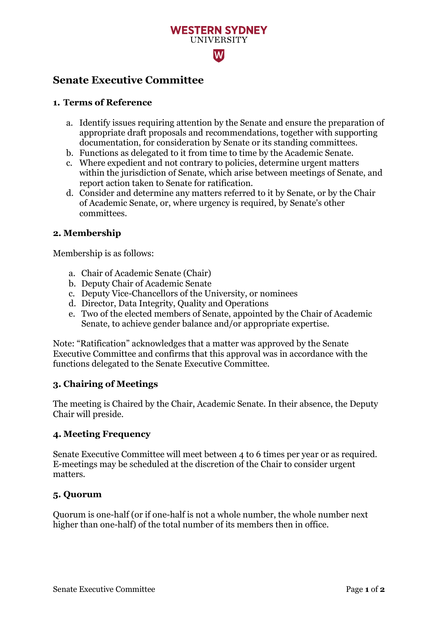## **WESTERN SYDNEY IINIVERSITY**  $|\mathbf{W}|$

### **Senate Executive Committee**

#### **1. Terms of Reference**

- a. Identify issues requiring attention by the Senate and ensure the preparation of appropriate draft proposals and recommendations, together with supporting documentation, for consideration by Senate or its standing committees.
- b. Functions as delegated to it from time to time by the Academic Senate.
- c. Where expedient and not contrary to policies, determine urgent matters within the jurisdiction of Senate, which arise between meetings of Senate, and report action taken to Senate for ratification.
- d. Consider and determine any matters referred to it by Senate, or by the Chair of Academic Senate, or, where urgency is required, by Senate's other committees.

#### **2. Membership**

Membership is as follows:

- a. Chair of Academic Senate (Chair)
- b. Deputy Chair of Academic Senate
- c. Deputy Vice-Chancellors of the University, or nominees
- d. Director, Data Integrity, Quality and Operations
- e. Two of the elected members of Senate, appointed by the Chair of Academic Senate, to achieve gender balance and/or appropriate expertise.

Note: "Ratification" acknowledges that a matter was approved by the Senate Executive Committee and confirms that this approval was in accordance with the functions delegated to the Senate Executive Committee.

#### **3. Chairing of Meetings**

The meeting is Chaired by the Chair, Academic Senate. In their absence, the Deputy Chair will preside.

#### **4. Meeting Frequency**

Senate Executive Committee will meet between 4 to 6 times per year or as required. E-meetings may be scheduled at the discretion of the Chair to consider urgent matters.

#### **5. Quorum**

Quorum is one-half (or if one-half is not a whole number, the whole number next higher than one-half) of the total number of its members then in office.